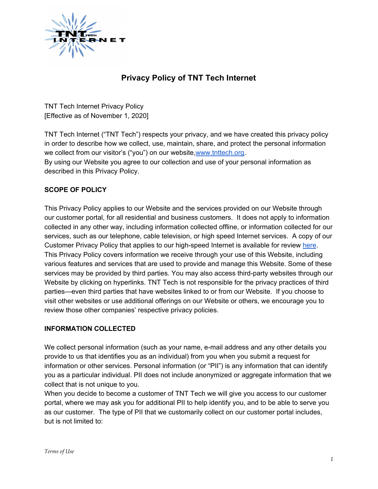

# **Privacy Policy of TNT Tech Internet**

TNT Tech Internet Privacy Policy [Effective as of November 1, 2020]

TNT Tech Internet ("TNT Tech") respects your privacy, and we have created this privacy policy in order to describe how we collect, use, maintain, share, and protect the personal information we collect from our visitor's ("you") on our website,[www.tnttech.org.](http://www.tnttech.org/) By using our Website you agree to our collection and use of your personal information as described in this Privacy Policy.

### **SCOPE OF POLICY**

This Privacy Policy applies to our Website and the services provided on our Website through our customer portal, for all residential and business customers. It does not apply to information collected in any other way, including information collected offline, or information collected for our services, such as our telephone, cable television, or high speed Internet services. A copy of our Customer Privacy Policy that applies to our high-speed Internet is available for review [here](https://www.horizonconnects.com/privacy-policy/). This Privacy Policy covers information we receive through your use of this Website, including various features and services that are used to provide and manage this Website. Some of these services may be provided by third parties. You may also access third-party websites through our Website by clicking on hyperlinks. TNT Tech is not responsible for the privacy practices of third parties—even third parties that have websites linked to or from our Website. If you choose to visit other websites or use additional offerings on our Website or others, we encourage you to review those other companies' respective privacy policies.

#### **INFORMATION COLLECTED**

We collect personal information (such as your name, e-mail address and any other details you provide to us that identifies you as an individual) from you when you submit a request for information or other services. Personal information (or "PII") is any information that can identify you as a particular individual. PII does not include anonymized or aggregate information that we collect that is not unique to you.

When you decide to become a customer of TNT Tech we will give you access to our customer portal, where we may ask you for additional PII to help identify you, and to be able to serve you as our customer. The type of PII that we customarily collect on our customer portal includes, but is not limited to: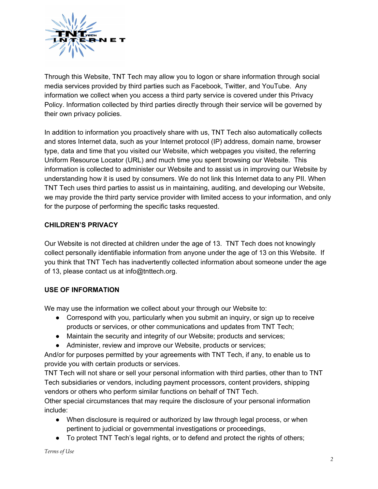

Through this Website, TNT Tech may allow you to logon or share information through social media services provided by third parties such as Facebook, Twitter, and YouTube. Any information we collect when you access a third party service is covered under this Privacy Policy. Information collected by third parties directly through their service will be governed by their own privacy policies.

In addition to information you proactively share with us, TNT Tech also automatically collects and stores Internet data, such as your Internet protocol (IP) address, domain name, browser type, data and time that you visited our Website, which webpages you visited, the referring Uniform Resource Locator (URL) and much time you spent browsing our Website. This information is collected to administer our Website and to assist us in improving our Website by understanding how it is used by consumers. We do not link this Internet data to any PII. When TNT Tech uses third parties to assist us in maintaining, auditing, and developing our Website, we may provide the third party service provider with limited access to your information, and only for the purpose of performing the specific tasks requested.

### **CHILDREN'S PRIVACY**

Our Website is not directed at children under the age of 13. TNT Tech does not knowingly collect personally identifiable information from anyone under the age of 13 on this Website. If you think that TNT Tech has inadvertently collected information about someone under the age of 13, please contact us at info@tnttech.org.

#### **USE OF INFORMATION**

We may use the information we collect about your through our Website to:

- Correspond with you, particularly when you submit an inquiry, or sign up to receive products or services, or other communications and updates from TNT Tech;
- Maintain the security and integrity of our Website; products and services;
- Administer, review and improve our Website, products or services;

And/or for purposes permitted by your agreements with TNT Tech, if any, to enable us to provide you with certain products or services.

TNT Tech will not share or sell your personal information with third parties, other than to TNT Tech subsidiaries or vendors, including payment processors, content providers, shipping vendors or others who perform similar functions on behalf of TNT Tech.

Other special circumstances that may require the disclosure of your personal information include:

- When disclosure is required or authorized by law through legal process, or when pertinent to judicial or governmental investigations or proceedings,
- To protect TNT Tech's legal rights, or to defend and protect the rights of others;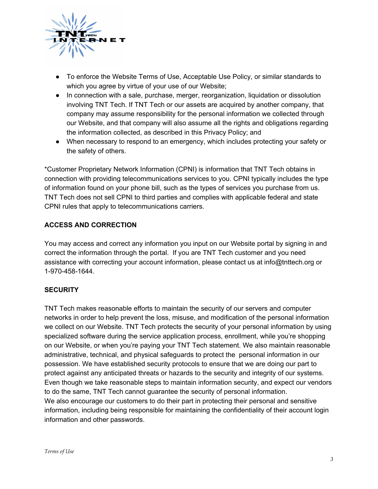

- To enforce the Website Terms of Use, Acceptable Use Policy, or similar standards to which you agree by virtue of your use of our Website;
- In connection with a sale, purchase, merger, reorganization, liquidation or dissolution involving TNT Tech. If TNT Tech or our assets are acquired by another company, that company may assume responsibility for the personal information we collected through our Website, and that company will also assume all the rights and obligations regarding the information collected, as described in this Privacy Policy; and
- When necessary to respond to an emergency, which includes protecting your safety or the safety of others.

\*Customer Proprietary Network Information (CPNI) is information that TNT Tech obtains in connection with providing telecommunications services to you. CPNI typically includes the type of information found on your phone bill, such as the types of services you purchase from us. TNT Tech does not sell CPNI to third parties and complies with applicable federal and state CPNI rules that apply to telecommunications carriers.

# **ACCESS AND CORRECTION**

You may access and correct any information you input on our Website portal by signing in and correct the information through the portal. If you are TNT Tech customer and you need assistance with correcting your account information, please contact us at info@tnttech.org or 1-970-458-1644.

# **SECURITY**

TNT Tech makes reasonable efforts to maintain the security of our servers and computer networks in order to help prevent the loss, misuse, and modification of the personal information we collect on our Website. TNT Tech protects the security of your personal information by using specialized software during the service application process, enrollment, while you're shopping on our Website, or when you're paying your TNT Tech statement. We also maintain reasonable administrative, technical, and physical safeguards to protect the personal information in our possession. We have established security protocols to ensure that we are doing our part to protect against any anticipated threats or hazards to the security and integrity of our systems. Even though we take reasonable steps to maintain information security, and expect our vendors to do the same, TNT Tech cannot guarantee the security of personal information. We also encourage our customers to do their part in protecting their personal and sensitive information, including being responsible for maintaining the confidentiality of their account login information and other passwords.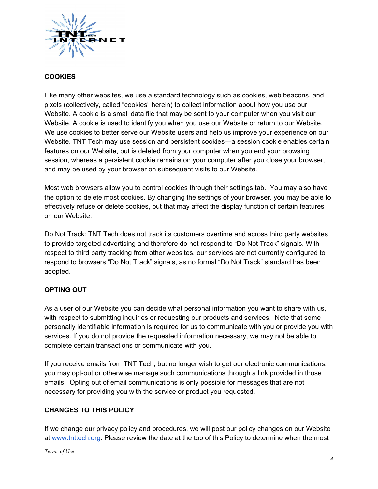

## **COOKIES**

Like many other websites, we use a standard technology such as cookies, web beacons, and pixels (collectively, called "cookies" herein) to collect information about how you use our Website. A cookie is a small data file that may be sent to your computer when you visit our Website. A cookie is used to identify you when you use our Website or return to our Website. We use cookies to better serve our Website users and help us improve your experience on our Website. TNT Tech may use session and persistent cookies—a session cookie enables certain features on our Website, but is deleted from your computer when you end your browsing session, whereas a persistent cookie remains on your computer after you close your browser, and may be used by your browser on subsequent visits to our Website.

Most web browsers allow you to control cookies through their settings tab. You may also have the option to delete most cookies. By changing the settings of your browser, you may be able to effectively refuse or delete cookies, but that may affect the display function of certain features on our Website.

Do Not Track: TNT Tech does not track its customers overtime and across third party websites to provide targeted advertising and therefore do not respond to "Do Not Track" signals. With respect to third party tracking from other websites, our services are not currently configured to respond to browsers "Do Not Track" signals, as no formal "Do Not Track" standard has been adopted.

# **OPTING OUT**

As a user of our Website you can decide what personal information you want to share with us, with respect to submitting inquiries or requesting our products and services. Note that some personally identifiable information is required for us to communicate with you or provide you with services. If you do not provide the requested information necessary, we may not be able to complete certain transactions or communicate with you.

If you receive emails from TNT Tech, but no longer wish to get our electronic communications, you may opt-out or otherwise manage such communications through a link provided in those emails. Opting out of email communications is only possible for messages that are not necessary for providing you with the service or product you requested.

#### **CHANGES TO THIS POLICY**

If we change our privacy policy and procedures, we will post our policy changes on our Website at [www.tnttech.org](https://www.tnttech.org/). Please review the date at the top of this Policy to determine when the most